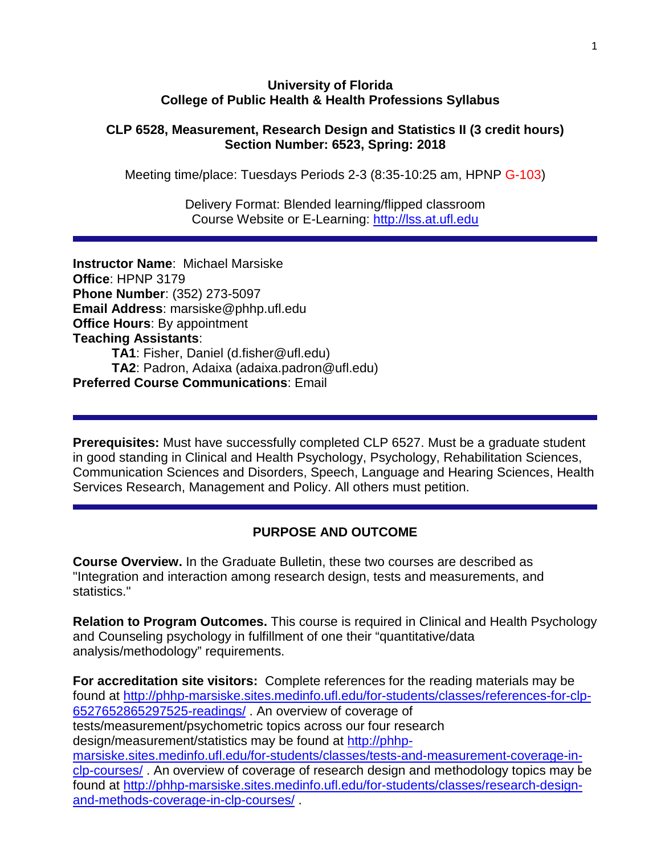#### **University of Florida College of Public Health & Health Professions Syllabus**

#### **CLP 6528, Measurement, Research Design and Statistics II (3 credit hours) Section Number: 6523, Spring: 2018**

Meeting time/place: Tuesdays Periods 2-3 (8:35-10:25 am, HPNP G-103)

Delivery Format: Blended learning/flipped classroom Course Website or E-Learning: [http://lss.at.ufl.edu](http://lss.at.ufl.edu/)

**Instructor Name**: Michael Marsiske **Office**: HPNP 3179 **Phone Number**: (352) 273-5097 **Email Address**: marsiske@phhp.ufl.edu **Office Hours**: By appointment **Teaching Assistants**: **TA1**: Fisher, Daniel (d.fisher@ufl.edu) **TA2**: Padron, Adaixa (adaixa.padron@ufl.edu) **Preferred Course Communications**: Email

**Prerequisites:** Must have successfully completed CLP 6527. Must be a graduate student in good standing in Clinical and Health Psychology, Psychology, Rehabilitation Sciences, Communication Sciences and Disorders, Speech, Language and Hearing Sciences, Health Services Research, Management and Policy. All others must petition.

## **PURPOSE AND OUTCOME**

**Course Overview.** In the Graduate Bulletin, these two courses are described as "Integration and interaction among research design, tests and measurements, and statistics."

**Relation to Program Outcomes.** This course is required in Clinical and Health Psychology and Counseling psychology in fulfillment of one their "quantitative/data analysis/methodology" requirements.

**For accreditation site visitors:** Complete references for the reading materials may be found at [http://phhp-marsiske.sites.medinfo.ufl.edu/for-students/classes/references-for-clp-](http://phhp-marsiske.sites.medinfo.ufl.edu/for-students/classes/references-for-clp-6527652865297525-readings/)[6527652865297525-readings/](http://phhp-marsiske.sites.medinfo.ufl.edu/for-students/classes/references-for-clp-6527652865297525-readings/) . An overview of coverage of tests/measurement/psychometric topics across our four research design/measurement/statistics may be found at [http://phhp](http://phhp-marsiske.sites.medinfo.ufl.edu/for-students/classes/tests-and-measurement-coverage-in-clp-courses/)[marsiske.sites.medinfo.ufl.edu/for-students/classes/tests-and-measurement-coverage-in](http://phhp-marsiske.sites.medinfo.ufl.edu/for-students/classes/tests-and-measurement-coverage-in-clp-courses/)[clp-courses/](http://phhp-marsiske.sites.medinfo.ufl.edu/for-students/classes/tests-and-measurement-coverage-in-clp-courses/). An overview of coverage of research design and methodology topics may be found at [http://phhp-marsiske.sites.medinfo.ufl.edu/for-students/classes/research-design](http://phhp-marsiske.sites.medinfo.ufl.edu/for-students/classes/research-design-and-methods-coverage-in-clp-courses/)[and-methods-coverage-in-clp-courses/](http://phhp-marsiske.sites.medinfo.ufl.edu/for-students/classes/research-design-and-methods-coverage-in-clp-courses/) .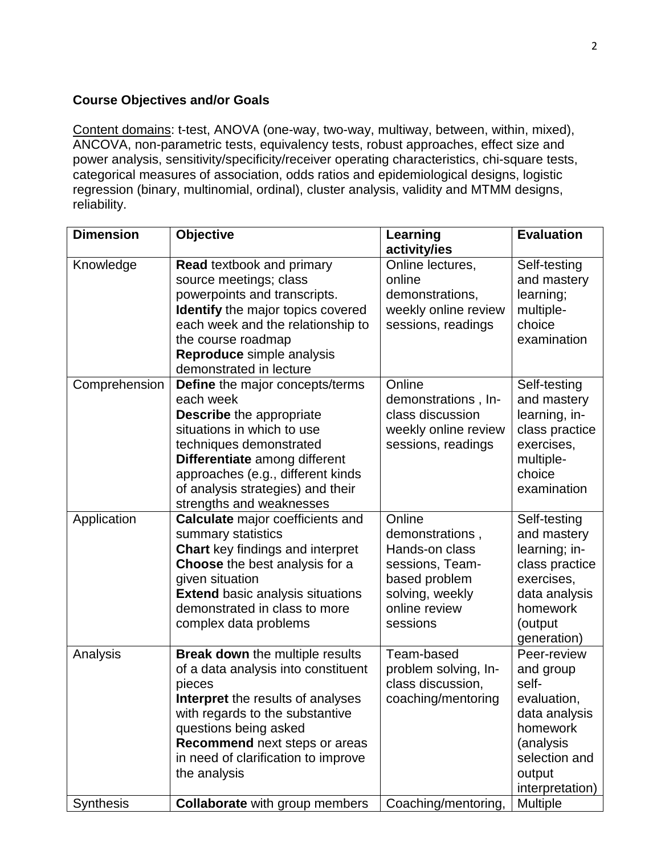## **Course Objectives and/or Goals**

Content domains: t-test, ANOVA (one-way, two-way, multiway, between, within, mixed), ANCOVA, non-parametric tests, equivalency tests, robust approaches, effect size and power analysis, sensitivity/specificity/receiver operating characteristics, chi-square tests, categorical measures of association, odds ratios and epidemiological designs, logistic regression (binary, multinomial, ordinal), cluster analysis, validity and MTMM designs, reliability.

| <b>Dimension</b> | <b>Objective</b>                                                                                                                                                                                                                                                                        | Learning<br>activity/ies                                                                                                        | <b>Evaluation</b>                                                                                                                        |
|------------------|-----------------------------------------------------------------------------------------------------------------------------------------------------------------------------------------------------------------------------------------------------------------------------------------|---------------------------------------------------------------------------------------------------------------------------------|------------------------------------------------------------------------------------------------------------------------------------------|
| Knowledge        | <b>Read textbook and primary</b><br>source meetings; class<br>powerpoints and transcripts.<br><b>Identify</b> the major topics covered<br>each week and the relationship to<br>the course roadmap<br>Reproduce simple analysis<br>demonstrated in lecture                               | Online lectures,<br>online<br>demonstrations,<br>weekly online review<br>sessions, readings                                     | Self-testing<br>and mastery<br>learning;<br>multiple-<br>choice<br>examination                                                           |
| Comprehension    | <b>Define</b> the major concepts/terms<br>each week<br><b>Describe</b> the appropriate<br>situations in which to use<br>techniques demonstrated<br>Differentiate among different<br>approaches (e.g., different kinds<br>of analysis strategies) and their<br>strengths and weaknesses  | Online<br>demonstrations, In-<br>class discussion<br>weekly online review<br>sessions, readings                                 | Self-testing<br>and mastery<br>learning, in-<br>class practice<br>exercises,<br>multiple-<br>choice<br>examination                       |
| Application      | <b>Calculate</b> major coefficients and<br>summary statistics<br><b>Chart</b> key findings and interpret<br>Choose the best analysis for a<br>given situation<br><b>Extend basic analysis situations</b><br>demonstrated in class to more<br>complex data problems                      | Online<br>demonstrations,<br>Hands-on class<br>sessions, Team-<br>based problem<br>solving, weekly<br>online review<br>sessions | Self-testing<br>and mastery<br>learning; in-<br>class practice<br>exercises,<br>data analysis<br>homework<br>(output<br>generation)      |
| Analysis         | <b>Break down</b> the multiple results<br>of a data analysis into constituent<br>pieces<br><b>Interpret</b> the results of analyses<br>with regards to the substantive<br>questions being asked<br>Recommend next steps or areas<br>in need of clarification to improve<br>the analysis | Team-based<br>problem solving, In-<br>class discussion,<br>coaching/mentoring                                                   | Peer-review<br>and group<br>self-<br>evaluation,<br>data analysis<br>homework<br>(analysis<br>selection and<br>output<br>interpretation) |
| <b>Synthesis</b> | <b>Collaborate</b> with group members                                                                                                                                                                                                                                                   | Coaching/mentoring,                                                                                                             | <b>Multiple</b>                                                                                                                          |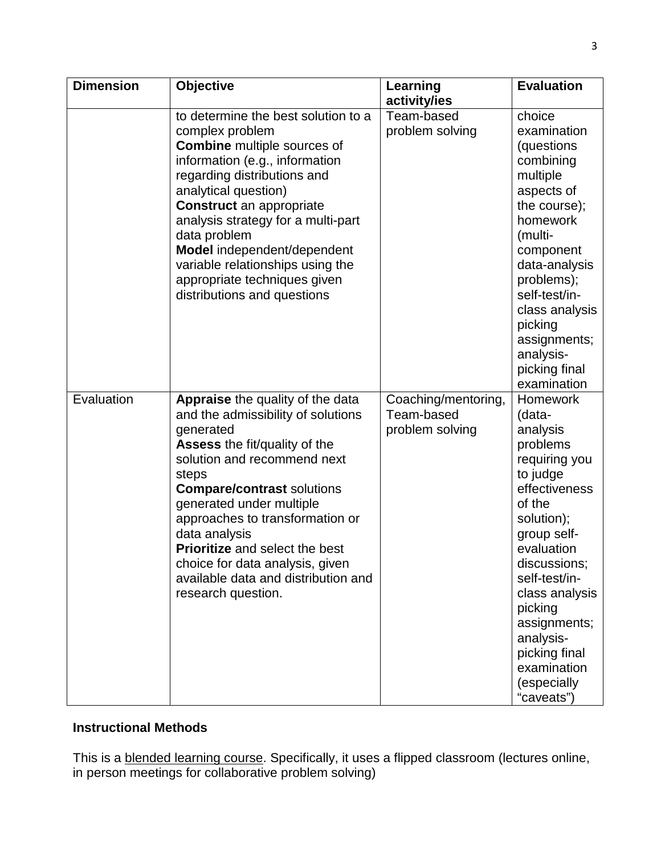| <b>Dimension</b> | <b>Objective</b>                                                                                                                                                                                                                                                                                                                                                                                                    | Learning<br>activity/ies                             | <b>Evaluation</b>                                                                                                                                                                                                                                                                                            |
|------------------|---------------------------------------------------------------------------------------------------------------------------------------------------------------------------------------------------------------------------------------------------------------------------------------------------------------------------------------------------------------------------------------------------------------------|------------------------------------------------------|--------------------------------------------------------------------------------------------------------------------------------------------------------------------------------------------------------------------------------------------------------------------------------------------------------------|
|                  | to determine the best solution to a<br>complex problem<br><b>Combine</b> multiple sources of<br>information (e.g., information<br>regarding distributions and<br>analytical question)<br><b>Construct</b> an appropriate<br>analysis strategy for a multi-part<br>data problem<br>Model independent/dependent<br>variable relationships using the<br>appropriate techniques given<br>distributions and questions    | Team-based<br>problem solving                        | choice<br>examination<br>(questions<br>combining<br>multiple<br>aspects of<br>the course);<br>homework<br>(multi-<br>component<br>data-analysis<br>problems);<br>self-test/in-<br>class analysis<br>picking<br>assignments;<br>analysis-<br>picking final<br>examination                                     |
| Evaluation       | Appraise the quality of the data<br>and the admissibility of solutions<br>generated<br>Assess the fit/quality of the<br>solution and recommend next<br>steps<br><b>Compare/contrast solutions</b><br>generated under multiple<br>approaches to transformation or<br>data analysis<br>Prioritize and select the best<br>choice for data analysis, given<br>available data and distribution and<br>research question. | Coaching/mentoring,<br>Team-based<br>problem solving | <b>Homework</b><br>(data-<br>analysis<br>problems<br>requiring you<br>to judge<br>effectiveness<br>of the<br>solution);<br>group self-<br>evaluation<br>discussions;<br>self-test/in-<br>class analysis<br>picking<br>assignments;<br>analysis-<br>picking final<br>examination<br>(especially<br>"caveats") |

# **Instructional Methods**

This is a <u>blended learning course</u>. Specifically, it uses a flipped classroom (lectures online, in person meetings for collaborative problem solving)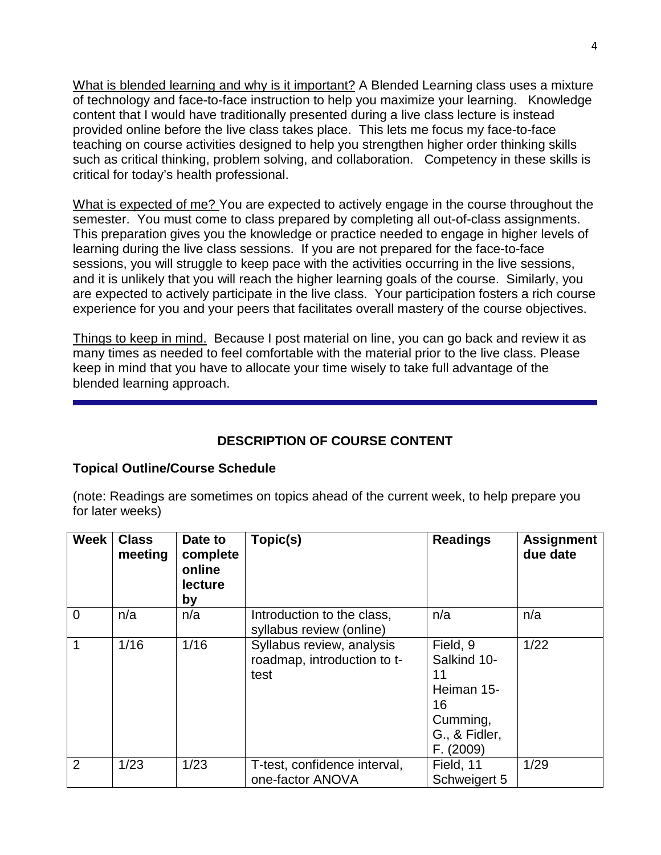What is blended learning and why is it important? A Blended Learning class uses a mixture of technology and face-to-face instruction to help you maximize your learning. Knowledge content that I would have traditionally presented during a live class lecture is instead provided online before the live class takes place. This lets me focus my face-to-face teaching on course activities designed to help you strengthen higher order thinking skills such as critical thinking, problem solving, and collaboration. Competency in these skills is critical for today's health professional.

What is expected of me? You are expected to actively engage in the course throughout the semester. You must come to class prepared by completing all out-of-class assignments. This preparation gives you the knowledge or practice needed to engage in higher levels of learning during the live class sessions. If you are not prepared for the face-to-face sessions, you will struggle to keep pace with the activities occurring in the live sessions, and it is unlikely that you will reach the higher learning goals of the course. Similarly, you are expected to actively participate in the live class. Your participation fosters a rich course experience for you and your peers that facilitates overall mastery of the course objectives.

Things to keep in mind. Because I post material on line, you can go back and review it as many times as needed to feel comfortable with the material prior to the live class. Please keep in mind that you have to allocate your time wisely to take full advantage of the blended learning approach.

# **DESCRIPTION OF COURSE CONTENT**

## **Topical Outline/Course Schedule**

(note: Readings are sometimes on topics ahead of the current week, to help prepare you for later weeks)

| <b>Week</b> | <b>Class</b><br>meeting | Date to<br>complete<br>online<br>lecture<br>by | Topic(s)                                                         | <b>Readings</b>                                                                             | <b>Assignment</b><br>due date |
|-------------|-------------------------|------------------------------------------------|------------------------------------------------------------------|---------------------------------------------------------------------------------------------|-------------------------------|
| $\Omega$    | n/a                     | n/a                                            | Introduction to the class,<br>syllabus review (online)           | n/a                                                                                         | n/a                           |
| 1           | 1/16                    | 1/16                                           | Syllabus review, analysis<br>roadmap, introduction to t-<br>test | Field, 9<br>Salkind 10-<br>11<br>Heiman 15-<br>16<br>Cumming,<br>G., & Fidler,<br>F. (2009) | 1/22                          |
| 2           | 1/23                    | 1/23                                           | T-test, confidence interval,<br>one-factor ANOVA                 | Field, 11<br>Schweigert 5                                                                   | 1/29                          |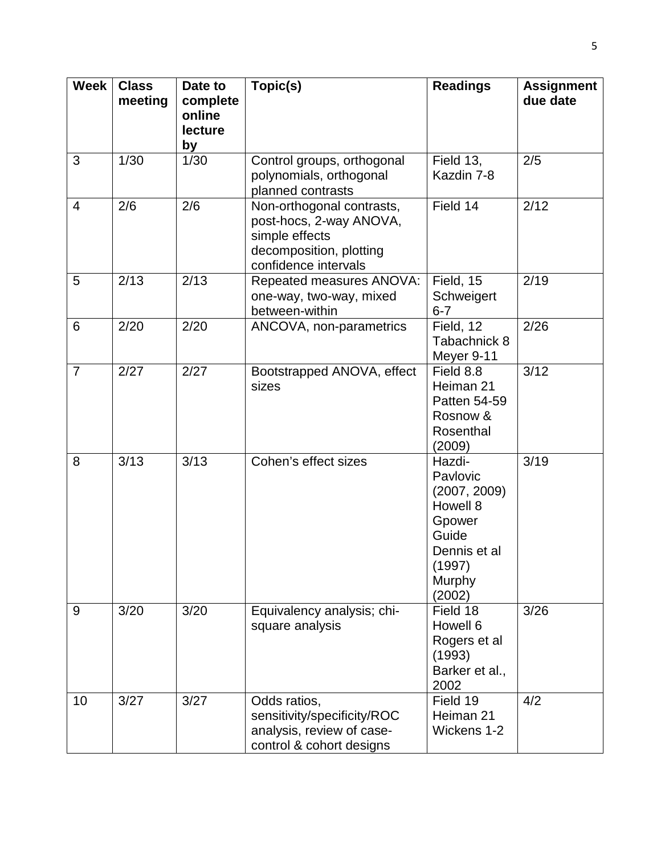| <b>Week</b>    | <b>Class</b><br>meeting | Date to<br>complete<br>online<br>lecture<br>by | Topic(s)                                                                                                                  | <b>Readings</b>                                                                                                 | <b>Assignment</b><br>due date |
|----------------|-------------------------|------------------------------------------------|---------------------------------------------------------------------------------------------------------------------------|-----------------------------------------------------------------------------------------------------------------|-------------------------------|
| 3              | 1/30                    | 1/30                                           | Control groups, orthogonal<br>polynomials, orthogonal<br>planned contrasts                                                | Field 13,<br>Kazdin 7-8                                                                                         | 2/5                           |
| $\overline{4}$ | 2/6                     | 2/6                                            | Non-orthogonal contrasts,<br>post-hocs, 2-way ANOVA,<br>simple effects<br>decomposition, plotting<br>confidence intervals | Field 14                                                                                                        | 2/12                          |
| 5              | 2/13                    | 2/13                                           | Repeated measures ANOVA:<br>one-way, two-way, mixed<br>between-within                                                     | Field, 15<br>Schweigert<br>$6 - 7$                                                                              | 2/19                          |
| 6              | 2/20                    | 2/20                                           | ANCOVA, non-parametrics                                                                                                   | Field, 12<br>Tabachnick 8<br>Meyer 9-11                                                                         | 2/26                          |
| $\overline{7}$ | 2/27                    | 2/27                                           | Bootstrapped ANOVA, effect<br>sizes                                                                                       | Field 8.8<br>Heiman 21<br>Patten 54-59<br>Rosnow &<br>Rosenthal<br>(2009)                                       | 3/12                          |
| 8              | 3/13                    | 3/13                                           | Cohen's effect sizes                                                                                                      | Hazdi-<br>Pavlovic<br>(2007, 2009)<br>Howell 8<br>Gpower<br>Guide<br>Dennis et al<br>(1997)<br>Murphy<br>(2002) | 3/19                          |
| 9              | 3/20                    | 3/20                                           | Equivalency analysis; chi-<br>square analysis                                                                             | Field 18<br>Howell 6<br>Rogers et al<br>(1993)<br>Barker et al.,<br>2002                                        | 3/26                          |
| 10             | 3/27                    | 3/27                                           | Odds ratios,<br>sensitivity/specificity/ROC<br>analysis, review of case-<br>control & cohort designs                      | Field 19<br>Heiman 21<br>Wickens 1-2                                                                            | 4/2                           |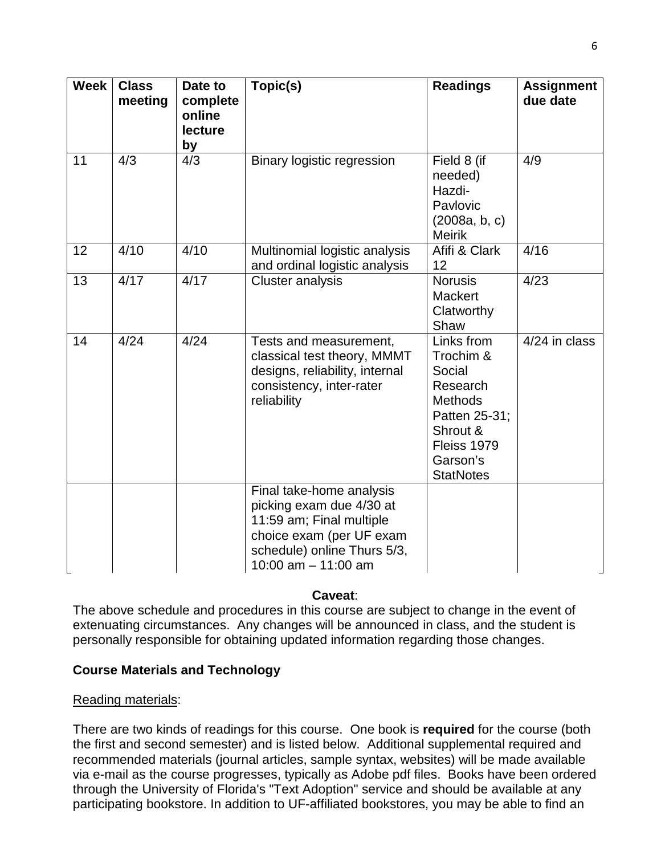| <b>Week</b> | <b>Class</b><br>meeting | Date to<br>complete<br>online<br>lecture<br>by | Topic(s)                                                                                                                                                             | <b>Readings</b>                                                                                                                             | <b>Assignment</b><br>due date |
|-------------|-------------------------|------------------------------------------------|----------------------------------------------------------------------------------------------------------------------------------------------------------------------|---------------------------------------------------------------------------------------------------------------------------------------------|-------------------------------|
| 11          | 4/3                     | 4/3                                            | <b>Binary logistic regression</b>                                                                                                                                    | Field 8 (if<br>needed)<br>Hazdi-<br>Pavlovic<br>(2008a, b, c)<br><b>Meirik</b>                                                              | 4/9                           |
| 12          | 4/10                    | 4/10                                           | Multinomial logistic analysis<br>and ordinal logistic analysis                                                                                                       | Afifi & Clark<br>12                                                                                                                         | 4/16                          |
| 13          | 4/17                    | 4/17                                           | <b>Cluster analysis</b>                                                                                                                                              | <b>Norusis</b><br><b>Mackert</b><br>Clatworthy<br>Shaw                                                                                      | 4/23                          |
| 14          | 4/24                    | 4/24                                           | Tests and measurement,<br>classical test theory, MMMT<br>designs, reliability, internal<br>consistency, inter-rater<br>reliability                                   | Links from<br>Trochim &<br>Social<br>Research<br><b>Methods</b><br>Patten 25-31;<br>Shrout &<br>Fleiss 1979<br>Garson's<br><b>StatNotes</b> | $4/24$ in class               |
|             |                         |                                                | Final take-home analysis<br>picking exam due 4/30 at<br>11:59 am; Final multiple<br>choice exam (per UF exam<br>schedule) online Thurs 5/3,<br>10:00 $am - 11:00$ am |                                                                                                                                             |                               |

## **Caveat**:

The above schedule and procedures in this course are subject to change in the event of extenuating circumstances. Any changes will be announced in class, and the student is personally responsible for obtaining updated information regarding those changes.

## **Course Materials and Technology**

#### Reading materials:

There are two kinds of readings for this course. One book is **required** for the course (both the first and second semester) and is listed below. Additional supplemental required and recommended materials (journal articles, sample syntax, websites) will be made available via e-mail as the course progresses, typically as Adobe pdf files. Books have been ordered through the University of Florida's "Text Adoption" service and should be available at any participating bookstore. In addition to UF-affiliated bookstores, you may be able to find an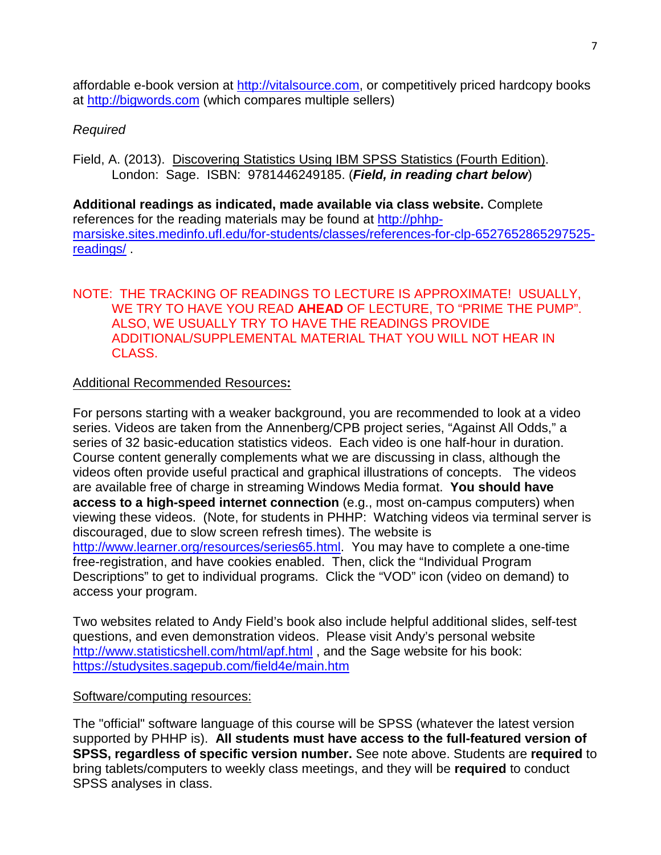affordable e-book version at [http://vitalsource.com,](http://vitalsource.com/) or competitively priced hardcopy books at [http://bigwords.com](http://bigwords.com/) (which compares multiple sellers)

## *Required*

Field, A. (2013). Discovering Statistics Using IBM SPSS Statistics (Fourth Edition). London: Sage. ISBN: 9781446249185. (*Field, in reading chart below*)

**Additional readings as indicated, made available via class website.** Complete references for the reading materials may be found at [http://phhp](http://phhp-marsiske.sites.medinfo.ufl.edu/for-students/classes/references-for-clp-6527652865297525-readings/)[marsiske.sites.medinfo.ufl.edu/for-students/classes/references-for-clp-6527652865297525](http://phhp-marsiske.sites.medinfo.ufl.edu/for-students/classes/references-for-clp-6527652865297525-readings/) [readings/](http://phhp-marsiske.sites.medinfo.ufl.edu/for-students/classes/references-for-clp-6527652865297525-readings/) .

## NOTE: THE TRACKING OF READINGS TO LECTURE IS APPROXIMATE! USUALLY, WE TRY TO HAVE YOU READ **AHEAD** OF LECTURE, TO "PRIME THE PUMP". ALSO, WE USUALLY TRY TO HAVE THE READINGS PROVIDE ADDITIONAL/SUPPLEMENTAL MATERIAL THAT YOU WILL NOT HEAR IN CLASS.

## Additional Recommended Resources**:**

For persons starting with a weaker background, you are recommended to look at a video series. Videos are taken from the Annenberg/CPB project series, "Against All Odds," a series of 32 basic-education statistics videos. Each video is one half-hour in duration. Course content generally complements what we are discussing in class, although the videos often provide useful practical and graphical illustrations of concepts. The videos are available free of charge in streaming Windows Media format. **You should have access to a high-speed internet connection** (e.g., most on-campus computers) when viewing these videos. (Note, for students in PHHP: Watching videos via terminal server is discouraged, due to slow screen refresh times). The website is [http://www.learner.org/resources/series65.html.](http://www.learner.org/resources/series65.html) You may have to complete a one-time free-registration, and have cookies enabled. Then, click the "Individual Program Descriptions" to get to individual programs. Click the "VOD" icon (video on demand) to access your program.

Two websites related to Andy Field's book also include helpful additional slides, self-test questions, and even demonstration videos. Please visit Andy's personal website <http://www.statisticshell.com/html/apf.html> , and the Sage website for his book: <https://studysites.sagepub.com/field4e/main.htm>

## Software/computing resources:

The "official" software language of this course will be SPSS (whatever the latest version supported by PHHP is). **All students must have access to the full-featured version of SPSS, regardless of specific version number.** See note above. Students are **required** to bring tablets/computers to weekly class meetings, and they will be **required** to conduct SPSS analyses in class.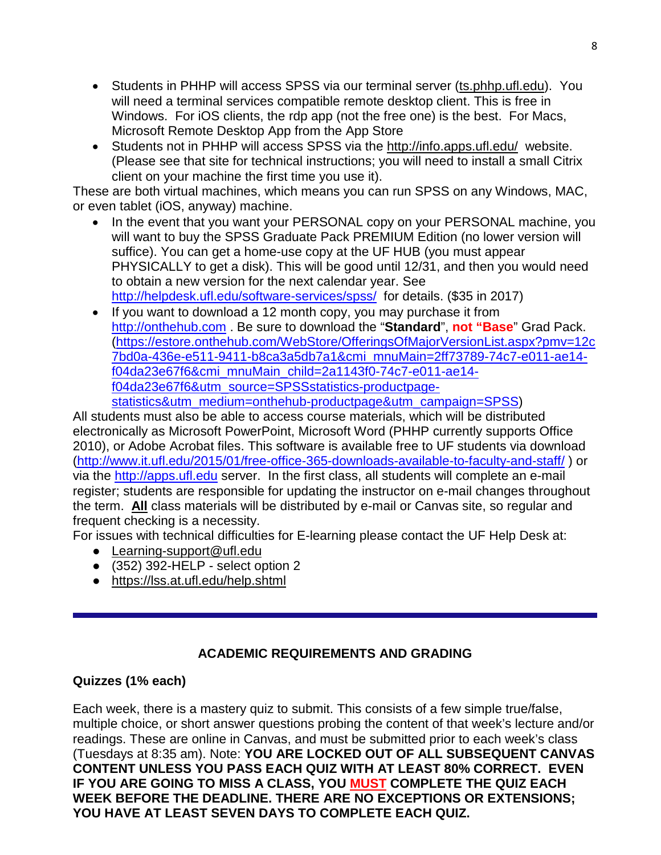- Students in PHHP will access SPSS via our terminal server (ts.phhp.ufl.edu). You will need a terminal services compatible remote desktop client. This is free in Windows. For iOS clients, the rdp app (not the free one) is the best. For Macs, Microsoft Remote Desktop App from the App Store
- Students not in PHHP will access SPSS via the http://info.apps.ufl.edu/ website. (Please see that site for technical instructions; you will need to install a small Citrix client on your machine the first time you use it).

These are both virtual machines, which means you can run SPSS on any Windows, MAC, or even tablet (iOS, anyway) machine.

- In the event that you want your PERSONAL copy on your PERSONAL machine, you will want to buy the SPSS Graduate Pack PREMIUM Edition (no lower version will suffice). You can get a home-use copy at the UF HUB (you must appear PHYSICALLY to get a disk). This will be good until 12/31, and then you would need to obtain a new version for the next calendar year. See <http://helpdesk.ufl.edu/software-services/spss/>for details. (\$35 in 2017)
- If you want to download a 12 month copy, you may purchase it from [http://onthehub.com](http://onthehub.com/) . Be sure to download the "**Standard**", **not "Base**" Grad Pack. [\(https://estore.onthehub.com/WebStore/OfferingsOfMajorVersionList.aspx?pmv=12c](https://estore.onthehub.com/WebStore/OfferingsOfMajorVersionList.aspx?pmv=12c7bd0a-436e-e511-9411-b8ca3a5db7a1&cmi_mnuMain=2ff73789-74c7-e011-ae14-f04da23e67f6&cmi_mnuMain_child=2a1143f0-74c7-e011-ae14-f04da23e67f6&utm_source=SPSSstatistics-productpage-statistics&utm_medium=onthehub-productpage&utm_campaign=SPSS) [7bd0a-436e-e511-9411-b8ca3a5db7a1&cmi\\_mnuMain=2ff73789-74c7-e011-ae14](https://estore.onthehub.com/WebStore/OfferingsOfMajorVersionList.aspx?pmv=12c7bd0a-436e-e511-9411-b8ca3a5db7a1&cmi_mnuMain=2ff73789-74c7-e011-ae14-f04da23e67f6&cmi_mnuMain_child=2a1143f0-74c7-e011-ae14-f04da23e67f6&utm_source=SPSSstatistics-productpage-statistics&utm_medium=onthehub-productpage&utm_campaign=SPSS) [f04da23e67f6&cmi\\_mnuMain\\_child=2a1143f0-74c7-e011-ae14](https://estore.onthehub.com/WebStore/OfferingsOfMajorVersionList.aspx?pmv=12c7bd0a-436e-e511-9411-b8ca3a5db7a1&cmi_mnuMain=2ff73789-74c7-e011-ae14-f04da23e67f6&cmi_mnuMain_child=2a1143f0-74c7-e011-ae14-f04da23e67f6&utm_source=SPSSstatistics-productpage-statistics&utm_medium=onthehub-productpage&utm_campaign=SPSS) [f04da23e67f6&utm\\_source=SPSSstatistics-productpage](https://estore.onthehub.com/WebStore/OfferingsOfMajorVersionList.aspx?pmv=12c7bd0a-436e-e511-9411-b8ca3a5db7a1&cmi_mnuMain=2ff73789-74c7-e011-ae14-f04da23e67f6&cmi_mnuMain_child=2a1143f0-74c7-e011-ae14-f04da23e67f6&utm_source=SPSSstatistics-productpage-statistics&utm_medium=onthehub-productpage&utm_campaign=SPSS)[statistics&utm\\_medium=onthehub-productpage&utm\\_campaign=SPSS\)](https://estore.onthehub.com/WebStore/OfferingsOfMajorVersionList.aspx?pmv=12c7bd0a-436e-e511-9411-b8ca3a5db7a1&cmi_mnuMain=2ff73789-74c7-e011-ae14-f04da23e67f6&cmi_mnuMain_child=2a1143f0-74c7-e011-ae14-f04da23e67f6&utm_source=SPSSstatistics-productpage-statistics&utm_medium=onthehub-productpage&utm_campaign=SPSS)

All students must also be able to access course materials, which will be distributed electronically as Microsoft PowerPoint, Microsoft Word (PHHP currently supports Office 2010), or Adobe Acrobat files. This software is available free to UF students via download [\(http://www.it.ufl.edu/2015/01/free-office-365-downloads-available-to-faculty-and-staff/](http://www.it.ufl.edu/2015/01/free-office-365-downloads-available-to-faculty-and-staff/) ) or via the [http://apps.ufl.edu](http://apps.ufl.edu/) server. In the first class, all students will complete an e-mail register; students are responsible for updating the instructor on e-mail changes throughout the term. **All** class materials will be distributed by e-mail or Canvas site, so regular and frequent checking is a necessity.

For issues with technical difficulties for E-learning please contact the UF Help Desk at:

- Learning-support@ufl.edu
- $\bullet$  (352) 392-HELP select option 2
- <https://lss.at.ufl.edu/help.shtml>

# **ACADEMIC REQUIREMENTS AND GRADING**

## **Quizzes (1% each)**

Each week, there is a mastery quiz to submit. This consists of a few simple true/false, multiple choice, or short answer questions probing the content of that week's lecture and/or readings. These are online in Canvas, and must be submitted prior to each week's class (Tuesdays at 8:35 am). Note: **YOU ARE LOCKED OUT OF ALL SUBSEQUENT CANVAS CONTENT UNLESS YOU PASS EACH QUIZ WITH AT LEAST 80% CORRECT. EVEN IF YOU ARE GOING TO MISS A CLASS, YOU MUST COMPLETE THE QUIZ EACH WEEK BEFORE THE DEADLINE. THERE ARE NO EXCEPTIONS OR EXTENSIONS; YOU HAVE AT LEAST SEVEN DAYS TO COMPLETE EACH QUIZ.**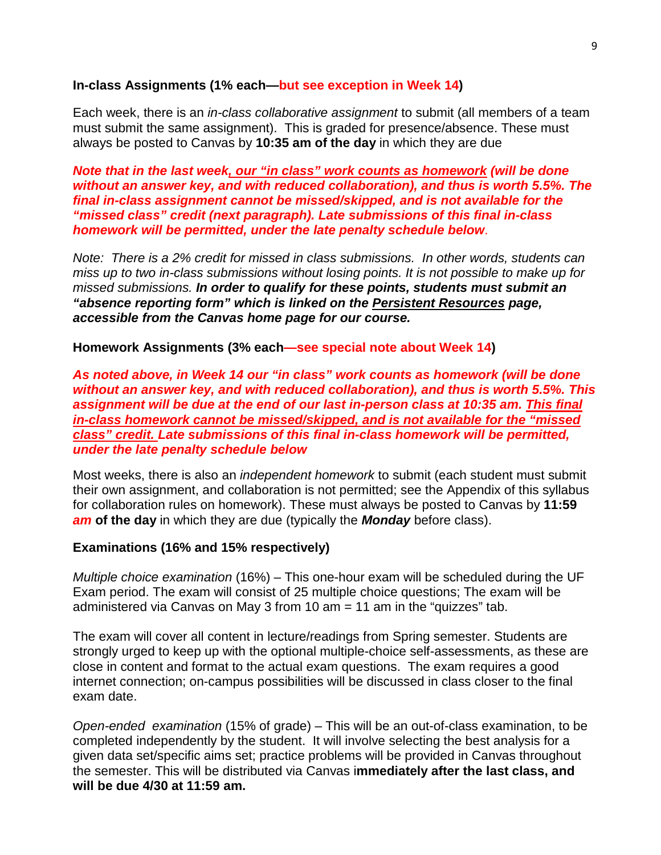#### **In-class Assignments (1% each—but see exception in Week 14)**

Each week, there is an *in-class collaborative assignment* to submit (all members of a team must submit the same assignment). This is graded for presence/absence. These must always be posted to Canvas by **10:35 am of the day** in which they are due

*Note that in the last week, our "in class" work counts as homework (will be done without an answer key, and with reduced collaboration), and thus is worth 5.5%. The final in-class assignment cannot be missed/skipped, and is not available for the "missed class" credit (next paragraph). Late submissions of this final in-class homework will be permitted, under the late penalty schedule below*.

*Note: There is a 2% credit for missed in class submissions. In other words, students can miss up to two in-class submissions without losing points. It is not possible to make up for missed submissions. In order to qualify for these points, students must submit an "absence reporting form" which is linked on the Persistent Resources page, accessible from the Canvas home page for our course.* 

#### **Homework Assignments (3% each—see special note about Week 14)**

*As noted above, in Week 14 our "in class" work counts as homework (will be done without an answer key, and with reduced collaboration), and thus is worth 5.5%. This assignment will be due at the end of our last in-person class at 10:35 am. This final in-class homework cannot be missed/skipped, and is not available for the "missed class" credit. Late submissions of this final in-class homework will be permitted, under the late penalty schedule below*

Most weeks, there is also an *independent homework* to submit (each student must submit their own assignment, and collaboration is not permitted; see the Appendix of this syllabus for collaboration rules on homework). These must always be posted to Canvas by **11:59**  *am* **of the day** in which they are due (typically the *Monday* before class).

## **Examinations (16% and 15% respectively)**

*Multiple choice examination* (16%) – This one-hour exam will be scheduled during the UF Exam period. The exam will consist of 25 multiple choice questions; The exam will be administered via Canvas on May 3 from 10 am  $= 11$  am in the "quizzes" tab.

The exam will cover all content in lecture/readings from Spring semester. Students are strongly urged to keep up with the optional multiple-choice self-assessments, as these are close in content and format to the actual exam questions. The exam requires a good internet connection; on-campus possibilities will be discussed in class closer to the final exam date.

*Open-ended examination* (15% of grade) – This will be an out-of-class examination, to be completed independently by the student. It will involve selecting the best analysis for a given data set/specific aims set; practice problems will be provided in Canvas throughout the semester. This will be distributed via Canvas i**mmediately after the last class, and will be due 4/30 at 11:59 am.**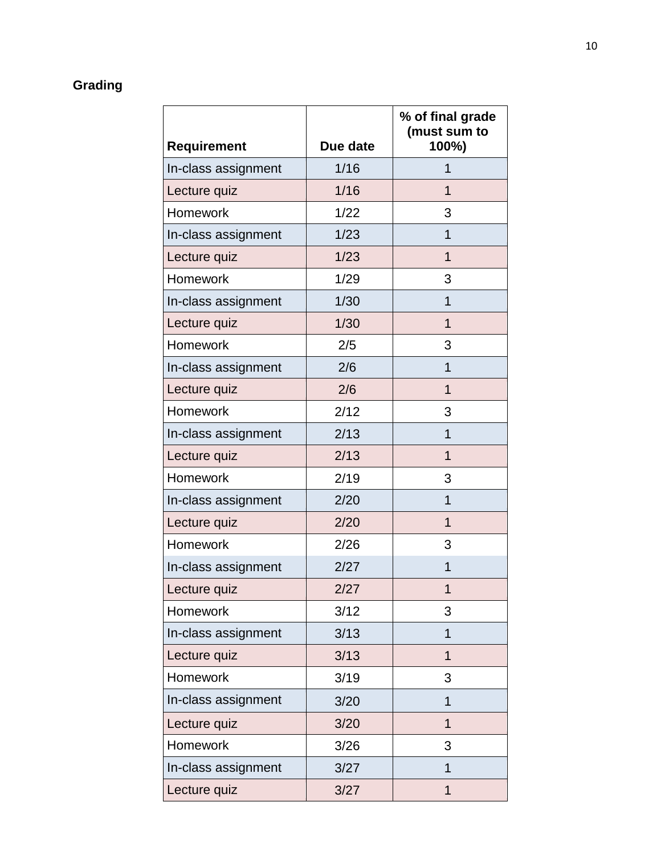# **Grading**

|                     |          | % of final grade<br>(must sum to |
|---------------------|----------|----------------------------------|
| Requirement         | Due date | 100%)                            |
| In-class assignment | 1/16     | 1                                |
| Lecture quiz        | 1/16     | 1                                |
| Homework            | 1/22     | 3                                |
| In-class assignment | 1/23     | 1                                |
| Lecture quiz        | 1/23     | 1                                |
| Homework            | 1/29     | 3                                |
| In-class assignment | 1/30     | 1                                |
| Lecture quiz        | 1/30     | $\overline{1}$                   |
| <b>Homework</b>     | 2/5      | 3                                |
| In-class assignment | 2/6      | 1                                |
| Lecture quiz        | 2/6      | $\overline{1}$                   |
| Homework            | 2/12     | 3                                |
| In-class assignment | 2/13     | 1                                |
| Lecture quiz        | 2/13     | $\overline{1}$                   |
| Homework            | 2/19     | 3                                |
| In-class assignment | 2/20     | 1                                |
| Lecture quiz        | 2/20     | $\mathbf 1$                      |
| Homework            | 2/26     | 3                                |
| In-class assignment | 2/27     | 1                                |
| Lecture quiz        | 2/27     | 1                                |
| Homework            | 3/12     | 3                                |
| In-class assignment | 3/13     | $\mathbf 1$                      |
| Lecture quiz        | 3/13     | $\overline{1}$                   |
| Homework            | 3/19     | 3                                |
| In-class assignment | 3/20     | 1                                |
| Lecture quiz        | 3/20     | $\mathbf{1}$                     |
| Homework            | 3/26     | 3                                |
| In-class assignment | 3/27     | $\mathbf 1$                      |
| Lecture quiz        | 3/27     | $\overline{1}$                   |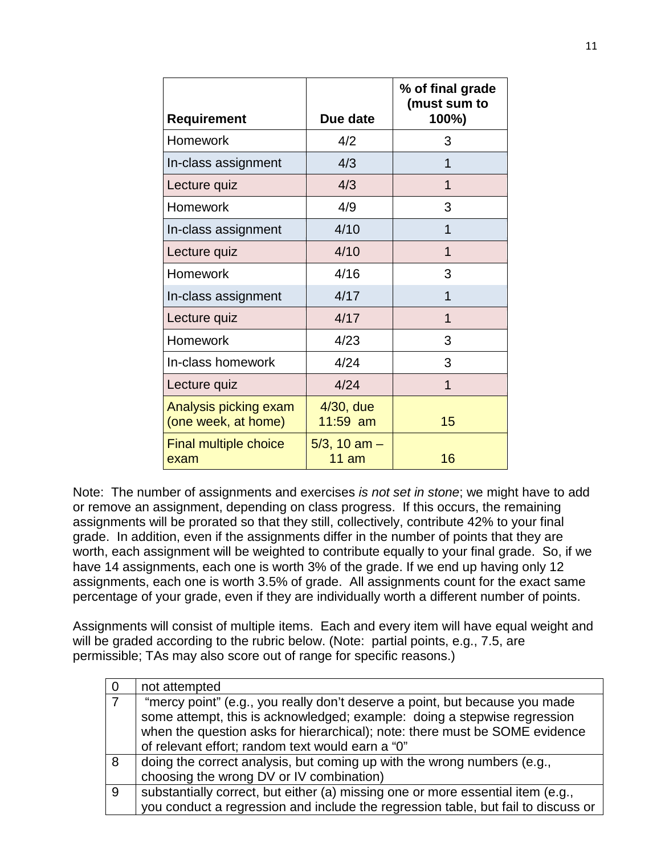|                                              |                            | % of final grade<br>(must sum to |
|----------------------------------------------|----------------------------|----------------------------------|
| <b>Requirement</b>                           | Due date                   | 100%)                            |
| <b>Homework</b>                              | 4/2                        | 3                                |
| In-class assignment                          | 4/3                        | 1                                |
| Lecture quiz                                 | 4/3                        | 1                                |
| <b>Homework</b>                              | 4/9                        | 3                                |
| In-class assignment                          | 4/10                       | 1                                |
| Lecture quiz                                 | 4/10                       | 1                                |
| Homework                                     | 4/16                       | 3                                |
| In-class assignment                          | 4/17                       | 1                                |
| Lecture quiz                                 | 4/17                       | 1                                |
| Homework                                     | 4/23                       | 3                                |
| In-class homework                            | 4/24                       | 3                                |
| Lecture quiz                                 | 4/24                       | 1                                |
| Analysis picking exam<br>(one week, at home) | $4/30$ , due<br>$11:59$ am | 15                               |
| <b>Final multiple choice</b><br>exam         | $5/3$ , 10 am $-$<br>11 am | 16                               |

Note: The number of assignments and exercises *is not set in stone*; we might have to add or remove an assignment, depending on class progress. If this occurs, the remaining assignments will be prorated so that they still, collectively, contribute 42% to your final grade. In addition, even if the assignments differ in the number of points that they are worth, each assignment will be weighted to contribute equally to your final grade. So, if we have 14 assignments, each one is worth 3% of the grade. If we end up having only 12 assignments, each one is worth 3.5% of grade. All assignments count for the exact same percentage of your grade, even if they are individually worth a different number of points.

Assignments will consist of multiple items. Each and every item will have equal weight and will be graded according to the rubric below. (Note: partial points, e.g., 7.5, are permissible; TAs may also score out of range for specific reasons.)

|    | not attempted                                                                     |
|----|-----------------------------------------------------------------------------------|
|    | "mercy point" (e.g., you really don't deserve a point, but because you made       |
|    | some attempt, this is acknowledged; example: doing a stepwise regression          |
|    | when the question asks for hierarchical); note: there must be SOME evidence       |
|    | of relevant effort; random text would earn a "0"                                  |
| 8  | doing the correct analysis, but coming up with the wrong numbers (e.g.,           |
|    | choosing the wrong DV or IV combination)                                          |
| -9 | substantially correct, but either (a) missing one or more essential item (e.g.,   |
|    | you conduct a regression and include the regression table, but fail to discuss or |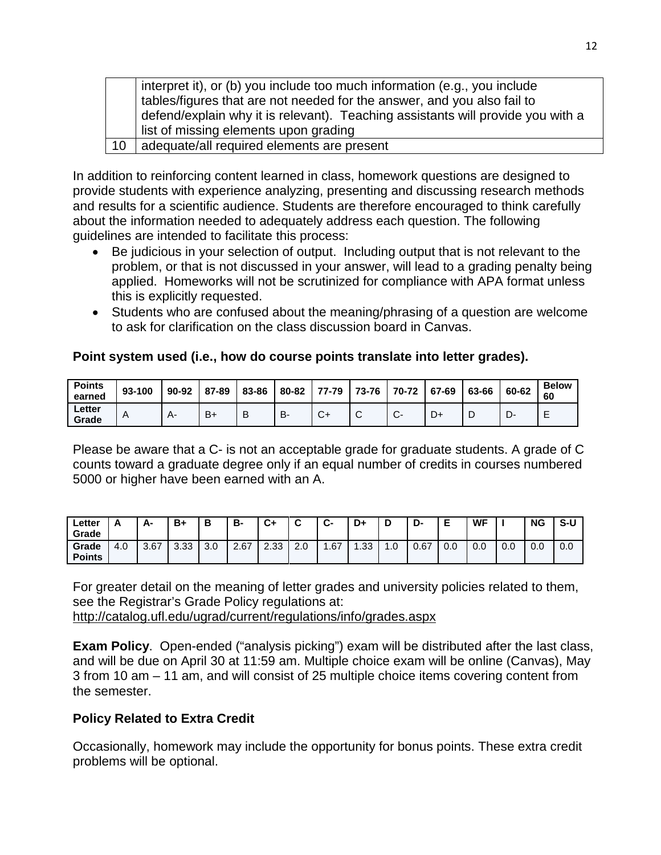interpret it), or (b) you include too much information (e.g., you include tables/figures that are not needed for the answer, and you also fail to defend/explain why it is relevant). Teaching assistants will provide you with a list of missing elements upon grading 10 adequate/all required elements are present

In addition to reinforcing content learned in class, homework questions are designed to provide students with experience analyzing, presenting and discussing research methods and results for a scientific audience. Students are therefore encouraged to think carefully about the information needed to adequately address each question. The following guidelines are intended to facilitate this process:

- Be judicious in your selection of output. Including output that is not relevant to the problem, or that is not discussed in your answer, will lead to a grading penalty being applied. Homeworks will not be scrutinized for compliance with APA format unless this is explicitly requested.
- Students who are confused about the meaning/phrasing of a question are welcome to ask for clarification on the class discussion board in Canvas.

## **Point system used (i.e., how do course points translate into letter grades).**

| <b>Points</b><br>earned | 93-100 | 90-92 | 87-89 | 83-86 | 80-82     | 77-79          | 73-76 | 70-72    | 67-69 | 63-66 | 60-62 | <b>Below</b><br>60 |
|-------------------------|--------|-------|-------|-------|-----------|----------------|-------|----------|-------|-------|-------|--------------------|
| ∟etter<br>Grade         | A      | Δ-    | $B+$  | В     | <b>B-</b> | $\mathbf{v}^*$ | ັ     | <b>U</b> | D+    |       |       | -<br>-             |

Please be aware that a C- is not an acceptable grade for graduate students. A grade of C counts toward a graduate degree only if an equal number of credits in courses numbered 5000 or higher have been earned with an A.

| ∟etter<br>Grade |     | А-   | $B+$ | в   | в-   | C+   |     | Ĉ<br>v- | D+            | D   | D-   |     | <b>WF</b> |     | <b>NG</b> | S-U |
|-----------------|-----|------|------|-----|------|------|-----|---------|---------------|-----|------|-----|-----------|-----|-----------|-----|
| Grade<br>Points | 4.0 | 3.67 | 3.33 | 3.0 | 2.67 | 2.33 | 2.0 | .67     | ົດດ<br>. . აა | 0.1 | 0.67 | 0.0 | 0.0       | 0.0 | 0.0       | 0.0 |

For greater detail on the meaning of letter grades and university policies related to them, see the Registrar's Grade Policy regulations at: <http://catalog.ufl.edu/ugrad/current/regulations/info/grades.aspx>

**Exam Policy**. Open-ended ("analysis picking") exam will be distributed after the last class, and will be due on April 30 at 11:59 am. Multiple choice exam will be online (Canvas), May 3 from 10 am – 11 am, and will consist of 25 multiple choice items covering content from the semester.

## **Policy Related to Extra Credit**

Occasionally, homework may include the opportunity for bonus points. These extra credit problems will be optional.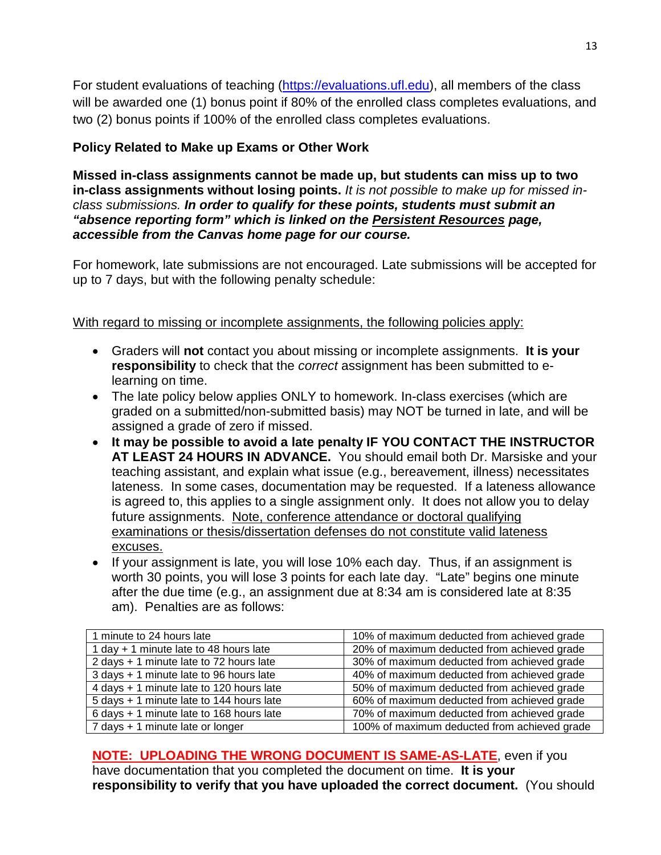For student evaluations of teaching [\(https://evaluations.ufl.edu\)](https://evaluations.ufl.edu/), all members of the class will be awarded one (1) bonus point if 80% of the enrolled class completes evaluations, and two (2) bonus points if 100% of the enrolled class completes evaluations.

# **Policy Related to Make up Exams or Other Work**

**Missed in-class assignments cannot be made up, but students can miss up to two in-class assignments without losing points.** *It is not possible to make up for missed inclass submissions. In order to qualify for these points, students must submit an "absence reporting form" which is linked on the Persistent Resources page, accessible from the Canvas home page for our course.* 

For homework, late submissions are not encouraged. Late submissions will be accepted for up to 7 days, but with the following penalty schedule:

With regard to missing or incomplete assignments, the following policies apply:

- Graders will **not** contact you about missing or incomplete assignments. **It is your responsibility** to check that the *correct* assignment has been submitted to elearning on time.
- The late policy below applies ONLY to homework. In-class exercises (which are graded on a submitted/non-submitted basis) may NOT be turned in late, and will be assigned a grade of zero if missed.
- **It may be possible to avoid a late penalty IF YOU CONTACT THE INSTRUCTOR AT LEAST 24 HOURS IN ADVANCE.** You should email both Dr. Marsiske and your teaching assistant, and explain what issue (e.g., bereavement, illness) necessitates lateness. In some cases, documentation may be requested. If a lateness allowance is agreed to, this applies to a single assignment only. It does not allow you to delay future assignments. Note, conference attendance or doctoral qualifying examinations or thesis/dissertation defenses do not constitute valid lateness excuses.
- If your assignment is late, you will lose 10% each day. Thus, if an assignment is worth 30 points, you will lose 3 points for each late day. "Late" begins one minute after the due time (e.g., an assignment due at 8:34 am is considered late at 8:35 am). Penalties are as follows:

| 1 minute to 24 hours late                | 10% of maximum deducted from achieved grade  |
|------------------------------------------|----------------------------------------------|
| 1 day + 1 minute late to 48 hours late   | 20% of maximum deducted from achieved grade  |
| 2 days + 1 minute late to 72 hours late  | 30% of maximum deducted from achieved grade  |
| 3 days + 1 minute late to 96 hours late  | 40% of maximum deducted from achieved grade  |
| 4 days + 1 minute late to 120 hours late | 50% of maximum deducted from achieved grade  |
| 5 days + 1 minute late to 144 hours late | 60% of maximum deducted from achieved grade  |
| 6 days + 1 minute late to 168 hours late | 70% of maximum deducted from achieved grade  |
| 7 days + 1 minute late or longer         | 100% of maximum deducted from achieved grade |
|                                          |                                              |

**NOTE: UPLOADING THE WRONG DOCUMENT IS SAME-AS-LATE**, even if you have documentation that you completed the document on time. **It is your responsibility to verify that you have uploaded the correct document.** (You should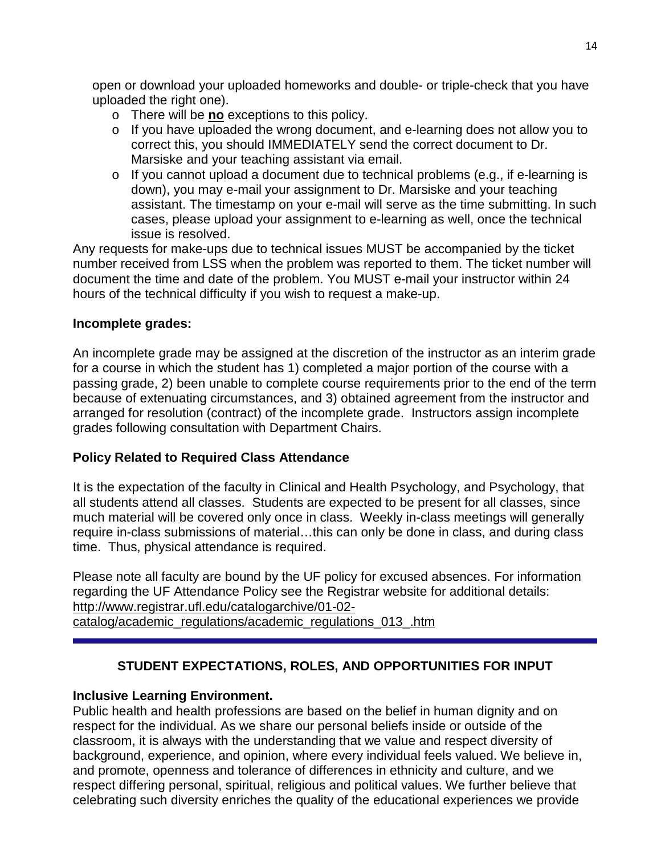open or download your uploaded homeworks and double- or triple-check that you have uploaded the right one).

- o There will be **no** exceptions to this policy.
- $\circ$  If you have uploaded the wrong document, and e-learning does not allow you to correct this, you should IMMEDIATELY send the correct document to Dr. Marsiske and your teaching assistant via email.
- $\circ$  If you cannot upload a document due to technical problems (e.g., if e-learning is down), you may e-mail your assignment to Dr. Marsiske and your teaching assistant. The timestamp on your e-mail will serve as the time submitting. In such cases, please upload your assignment to e-learning as well, once the technical issue is resolved.

Any requests for make-ups due to technical issues MUST be accompanied by the ticket number received from LSS when the problem was reported to them. The ticket number will document the time and date of the problem. You MUST e-mail your instructor within 24 hours of the technical difficulty if you wish to request a make-up.

## **Incomplete grades:**

An incomplete grade may be assigned at the discretion of the instructor as an interim grade for a course in which the student has 1) completed a major portion of the course with a passing grade, 2) been unable to complete course requirements prior to the end of the term because of extenuating circumstances, and 3) obtained agreement from the instructor and arranged for resolution (contract) of the incomplete grade. Instructors assign incomplete grades following consultation with Department Chairs.

## **Policy Related to Required Class Attendance**

It is the expectation of the faculty in Clinical and Health Psychology, and Psychology, that all students attend all classes. Students are expected to be present for all classes, since much material will be covered only once in class. Weekly in-class meetings will generally require in-class submissions of material…this can only be done in class, and during class time. Thus, physical attendance is required.

Please note all faculty are bound by the UF policy for excused absences. For information regarding the UF Attendance Policy see the Registrar website for additional details: [http://www.registrar.ufl.edu/catalogarchive/01-02](http://www.registrar.ufl.edu/catalogarchive/01-02-catalog/academic_regulations/academic_regulations_013_.htm) [catalog/academic\\_regulations/academic\\_regulations\\_013\\_.htm](http://www.registrar.ufl.edu/catalogarchive/01-02-catalog/academic_regulations/academic_regulations_013_.htm)

# **STUDENT EXPECTATIONS, ROLES, AND OPPORTUNITIES FOR INPUT**

## **Inclusive Learning Environment.**

Public health and health professions are based on the belief in human dignity and on respect for the individual. As we share our personal beliefs inside or outside of the classroom, it is always with the understanding that we value and respect diversity of background, experience, and opinion, where every individual feels valued. We believe in, and promote, openness and tolerance of differences in ethnicity and culture, and we respect differing personal, spiritual, religious and political values. We further believe that celebrating such diversity enriches the quality of the educational experiences we provide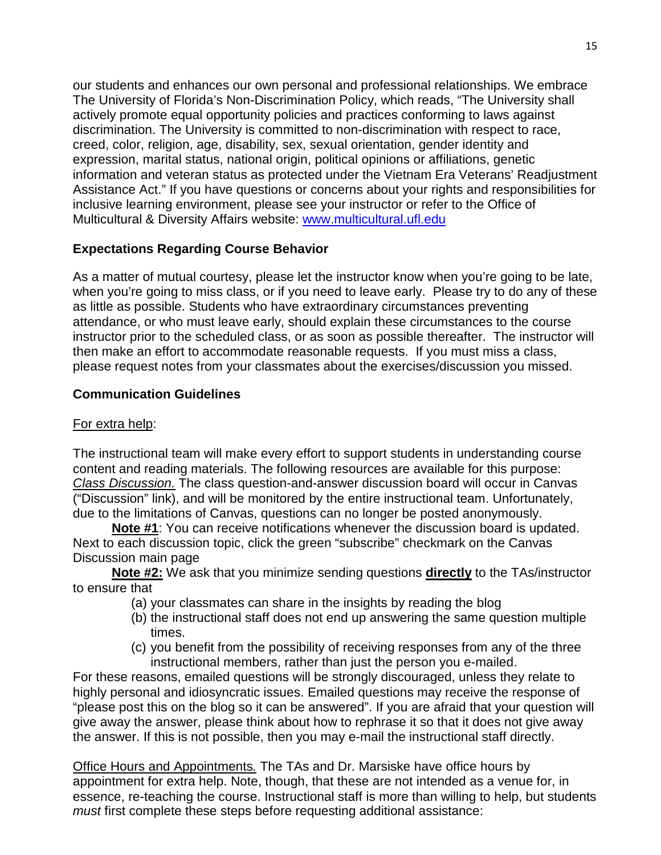our students and enhances our own personal and professional relationships. We embrace The University of Florida's Non-Discrimination Policy, which reads, "The University shall actively promote equal opportunity policies and practices conforming to laws against discrimination. The University is committed to non-discrimination with respect to race, creed, color, religion, age, disability, sex, sexual orientation, gender identity and expression, marital status, national origin, political opinions or affiliations, genetic information and veteran status as protected under the Vietnam Era Veterans' Readjustment Assistance Act." If you have questions or concerns about your rights and responsibilities for inclusive learning environment, please see your instructor or refer to the Office of Multicultural & Diversity Affairs website: [www.multicultural.ufl.edu](http://www.multicultural.ufl.edu/)

## **Expectations Regarding Course Behavior**

As a matter of mutual courtesy, please let the instructor know when you're going to be late, when you're going to miss class, or if you need to leave early. Please try to do any of these as little as possible. Students who have extraordinary circumstances preventing attendance, or who must leave early, should explain these circumstances to the course instructor prior to the scheduled class, or as soon as possible thereafter. The instructor will then make an effort to accommodate reasonable requests. If you must miss a class, please request notes from your classmates about the exercises/discussion you missed.

## **Communication Guidelines**

## For extra help:

The instructional team will make every effort to support students in understanding course content and reading materials. The following resources are available for this purpose: *Class Discussion.* The class question-and-answer discussion board will occur in Canvas ("Discussion" link), and will be monitored by the entire instructional team. Unfortunately, due to the limitations of Canvas, questions can no longer be posted anonymously.

**Note #1**: You can receive notifications whenever the discussion board is updated. Next to each discussion topic, click the green "subscribe" checkmark on the Canvas Discussion main page

**Note #2:** We ask that you minimize sending questions **directly** to the TAs/instructor to ensure that

- (a) your classmates can share in the insights by reading the blog
- (b) the instructional staff does not end up answering the same question multiple times.
- (c) you benefit from the possibility of receiving responses from any of the three instructional members, rather than just the person you e-mailed.

For these reasons, emailed questions will be strongly discouraged, unless they relate to highly personal and idiosyncratic issues. Emailed questions may receive the response of "please post this on the blog so it can be answered". If you are afraid that your question will give away the answer, please think about how to rephrase it so that it does not give away the answer. If this is not possible, then you may e-mail the instructional staff directly.

Office Hours and Appointments*.* The TAs and Dr. Marsiske have office hours by appointment for extra help. Note, though, that these are not intended as a venue for, in essence, re-teaching the course. Instructional staff is more than willing to help, but students *must* first complete these steps before requesting additional assistance: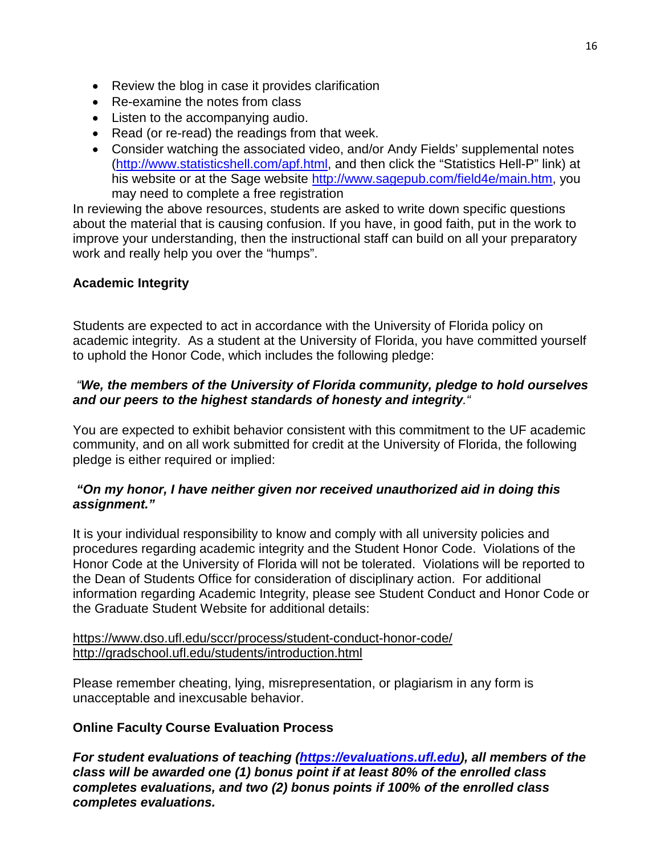- Review the blog in case it provides clarification
- Re-examine the notes from class
- Listen to the accompanying audio.
- Read (or re-read) the readings from that week.
- Consider watching the associated video, and/or Andy Fields' supplemental notes [\(http://www.statisticshell.com/apf.html,](http://www.statisticshell.com/apf.html) and then click the "Statistics Hell-P" link) at his website or at the Sage website [http://www.sagepub.com/field4e/main.htm,](http://www.sagepub.com/field4e/main.htm) you may need to complete a free registration

In reviewing the above resources, students are asked to write down specific questions about the material that is causing confusion. If you have, in good faith, put in the work to improve your understanding, then the instructional staff can build on all your preparatory work and really help you over the "humps".

## **Academic Integrity**

Students are expected to act in accordance with the University of Florida policy on academic integrity. As a student at the University of Florida, you have committed yourself to uphold the Honor Code, which includes the following pledge:

## *"We, the members of the University of Florida community, pledge to hold ourselves and our peers to the highest standards of honesty and integrity."*

You are expected to exhibit behavior consistent with this commitment to the UF academic community, and on all work submitted for credit at the University of Florida, the following pledge is either required or implied:

## *"On my honor, I have neither given nor received unauthorized aid in doing this assignment."*

It is your individual responsibility to know and comply with all university policies and procedures regarding academic integrity and the Student Honor Code. Violations of the Honor Code at the University of Florida will not be tolerated. Violations will be reported to the Dean of Students Office for consideration of disciplinary action. For additional information regarding Academic Integrity, please see Student Conduct and Honor Code or the Graduate Student Website for additional details:

#### <https://www.dso.ufl.edu/sccr/process/student-conduct-honor-code/> <http://gradschool.ufl.edu/students/introduction.html>

Please remember cheating, lying, misrepresentation, or plagiarism in any form is unacceptable and inexcusable behavior.

## **Online Faculty Course Evaluation Process**

*For student evaluations of teaching [\(https://evaluations.ufl.edu\)](https://evaluations.ufl.edu/), all members of the class will be awarded one (1) bonus point if at least 80% of the enrolled class completes evaluations, and two (2) bonus points if 100% of the enrolled class completes evaluations.*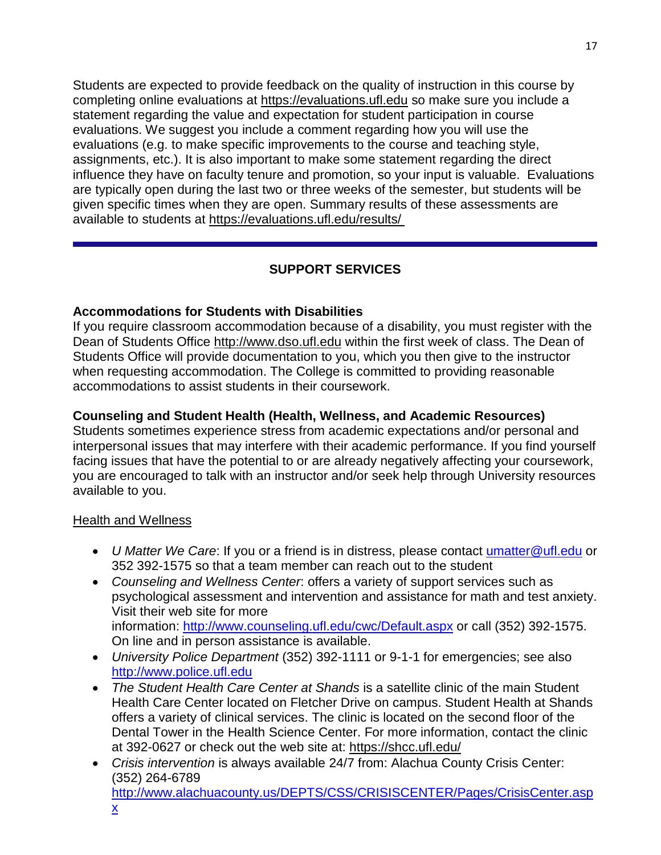Students are expected to provide feedback on the quality of instruction in this course by completing online evaluations at [https://evaluations.ufl.edu](https://evaluations.ufl.edu/) so make sure you include a statement regarding the value and expectation for student participation in course evaluations. We suggest you include a comment regarding how you will use the evaluations (e.g. to make specific improvements to the course and teaching style, assignments, etc.). It is also important to make some statement regarding the direct influence they have on faculty tenure and promotion, so your input is valuable. Evaluations are typically open during the last two or three weeks of the semester, but students will be given specific times when they are open. Summary results of these assessments are available to students at [https://evaluations.ufl.edu/results/](https://evaluations.ufl.edu/results/ )

# **SUPPORT SERVICES**

## **Accommodations for Students with Disabilities**

If you require classroom accommodation because of a disability, you must register with the Dean of Students Office [http://www.dso.ufl.edu](http://www.dso.ufl.edu/) within the first week of class. The Dean of Students Office will provide documentation to you, which you then give to the instructor when requesting accommodation. The College is committed to providing reasonable accommodations to assist students in their coursework.

## **Counseling and Student Health (Health, Wellness, and Academic Resources)**

Students sometimes experience stress from academic expectations and/or personal and interpersonal issues that may interfere with their academic performance. If you find yourself facing issues that have the potential to or are already negatively affecting your coursework, you are encouraged to talk with an instructor and/or seek help through University resources available to you.

## Health and Wellness

- *U Matter We Care*: If you or a friend is in distress, please contact *umatter* @ufl.edu or 352 392-1575 so that a team member can reach out to the student
- *Counseling and Wellness Center*: offers a variety of support services such as psychological assessment and intervention and assistance for math and test anxiety. Visit their web site for more information: <http://www.counseling.ufl.edu/cwc/Default.aspx> or call (352) 392-1575. On line and in person assistance is available.
- *University Police Department* (352) 392-1111 or 9-1-1 for emergencies; see also [http://www.police.ufl.edu](http://www.police.ufl.edu/)
- *The Student Health Care Center at Shands* is a satellite clinic of the main Student Health Care Center located on Fletcher Drive on campus. Student Health at Shands offers a variety of clinical services. The clinic is located on the second floor of the Dental Tower in the Health Science Center. For more information, contact the clinic at 392-0627 or check out the web site at: <https://shcc.ufl.edu/>
- *Crisis intervention* is always available 24/7 from: Alachua County Crisis Center: (352) 264-6789 [http://www.alachuacounty.us/DEPTS/CSS/CRISISCENTER/Pages/CrisisCenter.asp](http://www.alachuacounty.us/DEPTS/CSS/CRISISCENTER/Pages/CrisisCenter.aspx)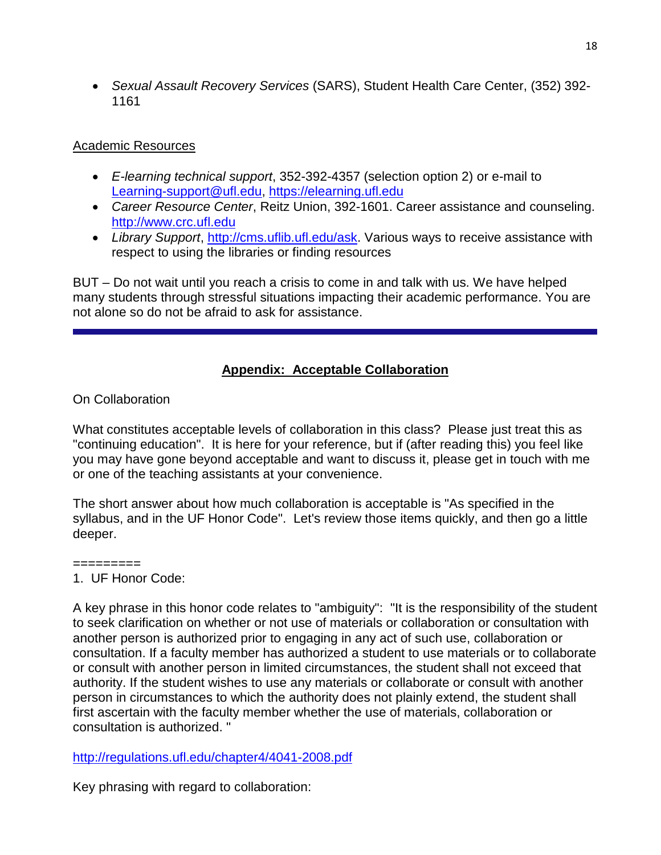• *Sexual Assault Recovery Services* (SARS), Student Health Care Center, (352) 392- 1161

## Academic Resources

- *E-learning technical support*, 352-392-4357 (selection option 2) or e-mail to [Learning-support@ufl.edu,](mailto:Learning-support@ufl.edu) [https://elearning.ufl.edu](https://elearning.ufl.edu/)
- *Career Resource Center*, Reitz Union, 392-1601. Career assistance and counseling. [http://www.crc.ufl.edu](http://www.crc.ufl.edu/)
- *Library Support*, [http://cms.uflib.ufl.edu/ask.](http://cms.uflib.ufl.edu/ask) Various ways to receive assistance with respect to using the libraries or finding resources

BUT – Do not wait until you reach a crisis to come in and talk with us. We have helped many students through stressful situations impacting their academic performance. You are not alone so do not be afraid to ask for assistance.

# **Appendix: Acceptable Collaboration**

## On Collaboration

What constitutes acceptable levels of collaboration in this class? Please just treat this as "continuing education". It is here for your reference, but if (after reading this) you feel like you may have gone beyond acceptable and want to discuss it, please get in touch with me or one of the teaching assistants at your convenience.

The short answer about how much collaboration is acceptable is "As specified in the syllabus, and in the UF Honor Code". Let's review those items quickly, and then go a little deeper.

# =========

1. UF Honor Code:

A key phrase in this honor code relates to "ambiguity": "It is the responsibility of the student to seek clarification on whether or not use of materials or collaboration or consultation with another person is authorized prior to engaging in any act of such use, collaboration or consultation. If a faculty member has authorized a student to use materials or to collaborate or consult with another person in limited circumstances, the student shall not exceed that authority. If the student wishes to use any materials or collaborate or consult with another person in circumstances to which the authority does not plainly extend, the student shall first ascertain with the faculty member whether the use of materials, collaboration or consultation is authorized. "

<http://regulations.ufl.edu/chapter4/4041-2008.pdf>

Key phrasing with regard to collaboration: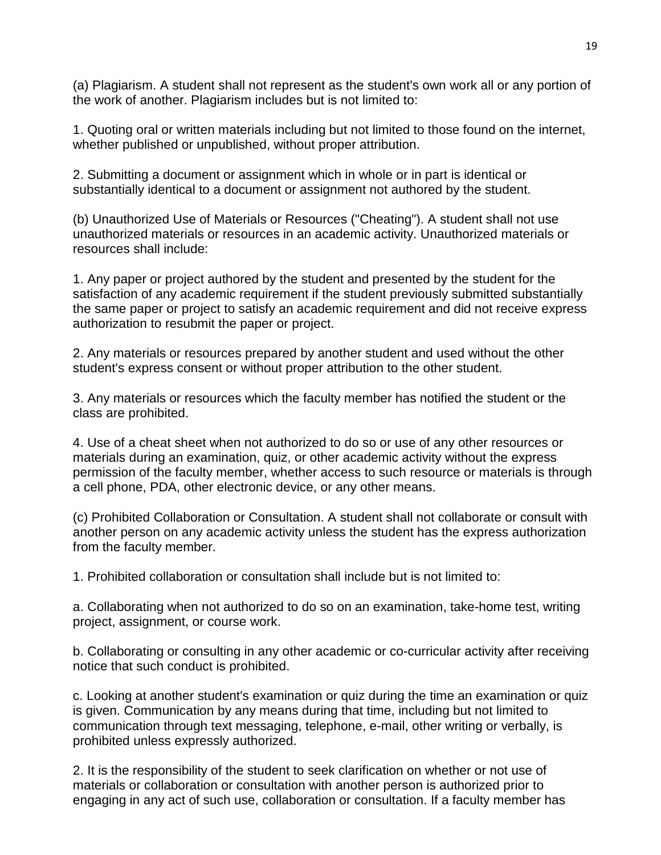(a) Plagiarism. A student shall not represent as the student's own work all or any portion of the work of another. Plagiarism includes but is not limited to:

1. Quoting oral or written materials including but not limited to those found on the internet, whether published or unpublished, without proper attribution.

2. Submitting a document or assignment which in whole or in part is identical or substantially identical to a document or assignment not authored by the student.

(b) Unauthorized Use of Materials or Resources ("Cheating"). A student shall not use unauthorized materials or resources in an academic activity. Unauthorized materials or resources shall include:

1. Any paper or project authored by the student and presented by the student for the satisfaction of any academic requirement if the student previously submitted substantially the same paper or project to satisfy an academic requirement and did not receive express authorization to resubmit the paper or project.

2. Any materials or resources prepared by another student and used without the other student's express consent or without proper attribution to the other student.

3. Any materials or resources which the faculty member has notified the student or the class are prohibited.

4. Use of a cheat sheet when not authorized to do so or use of any other resources or materials during an examination, quiz, or other academic activity without the express permission of the faculty member, whether access to such resource or materials is through a cell phone, PDA, other electronic device, or any other means.

(c) Prohibited Collaboration or Consultation. A student shall not collaborate or consult with another person on any academic activity unless the student has the express authorization from the faculty member.

1. Prohibited collaboration or consultation shall include but is not limited to:

a. Collaborating when not authorized to do so on an examination, take-home test, writing project, assignment, or course work.

b. Collaborating or consulting in any other academic or co-curricular activity after receiving notice that such conduct is prohibited.

c. Looking at another student's examination or quiz during the time an examination or quiz is given. Communication by any means during that time, including but not limited to communication through text messaging, telephone, e-mail, other writing or verbally, is prohibited unless expressly authorized.

2. It is the responsibility of the student to seek clarification on whether or not use of materials or collaboration or consultation with another person is authorized prior to engaging in any act of such use, collaboration or consultation. If a faculty member has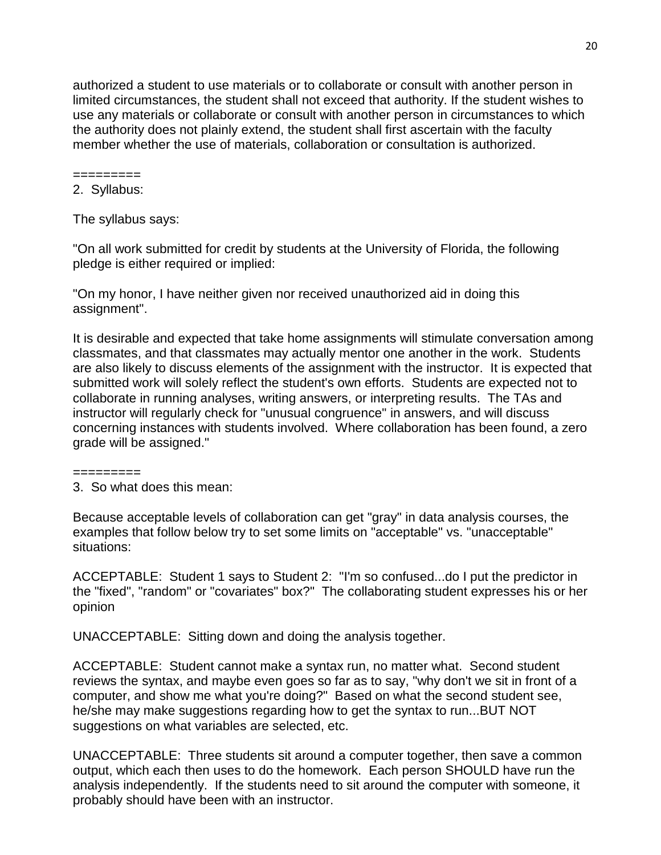authorized a student to use materials or to collaborate or consult with another person in limited circumstances, the student shall not exceed that authority. If the student wishes to use any materials or collaborate or consult with another person in circumstances to which the authority does not plainly extend, the student shall first ascertain with the faculty member whether the use of materials, collaboration or consultation is authorized.

========= 2. Syllabus:

The syllabus says:

"On all work submitted for credit by students at the University of Florida, the following pledge is either required or implied:

"On my honor, I have neither given nor received unauthorized aid in doing this assignment".

It is desirable and expected that take home assignments will stimulate conversation among classmates, and that classmates may actually mentor one another in the work. Students are also likely to discuss elements of the assignment with the instructor. It is expected that submitted work will solely reflect the student's own efforts. Students are expected not to collaborate in running analyses, writing answers, or interpreting results. The TAs and instructor will regularly check for "unusual congruence" in answers, and will discuss concerning instances with students involved. Where collaboration has been found, a zero grade will be assigned."

=========

3. So what does this mean:

Because acceptable levels of collaboration can get "gray" in data analysis courses, the examples that follow below try to set some limits on "acceptable" vs. "unacceptable" situations:

ACCEPTABLE: Student 1 says to Student 2: "I'm so confused...do I put the predictor in the "fixed", "random" or "covariates" box?" The collaborating student expresses his or her opinion

UNACCEPTABLE: Sitting down and doing the analysis together.

ACCEPTABLE: Student cannot make a syntax run, no matter what. Second student reviews the syntax, and maybe even goes so far as to say, "why don't we sit in front of a computer, and show me what you're doing?" Based on what the second student see, he/she may make suggestions regarding how to get the syntax to run...BUT NOT suggestions on what variables are selected, etc.

UNACCEPTABLE: Three students sit around a computer together, then save a common output, which each then uses to do the homework. Each person SHOULD have run the analysis independently. If the students need to sit around the computer with someone, it probably should have been with an instructor.